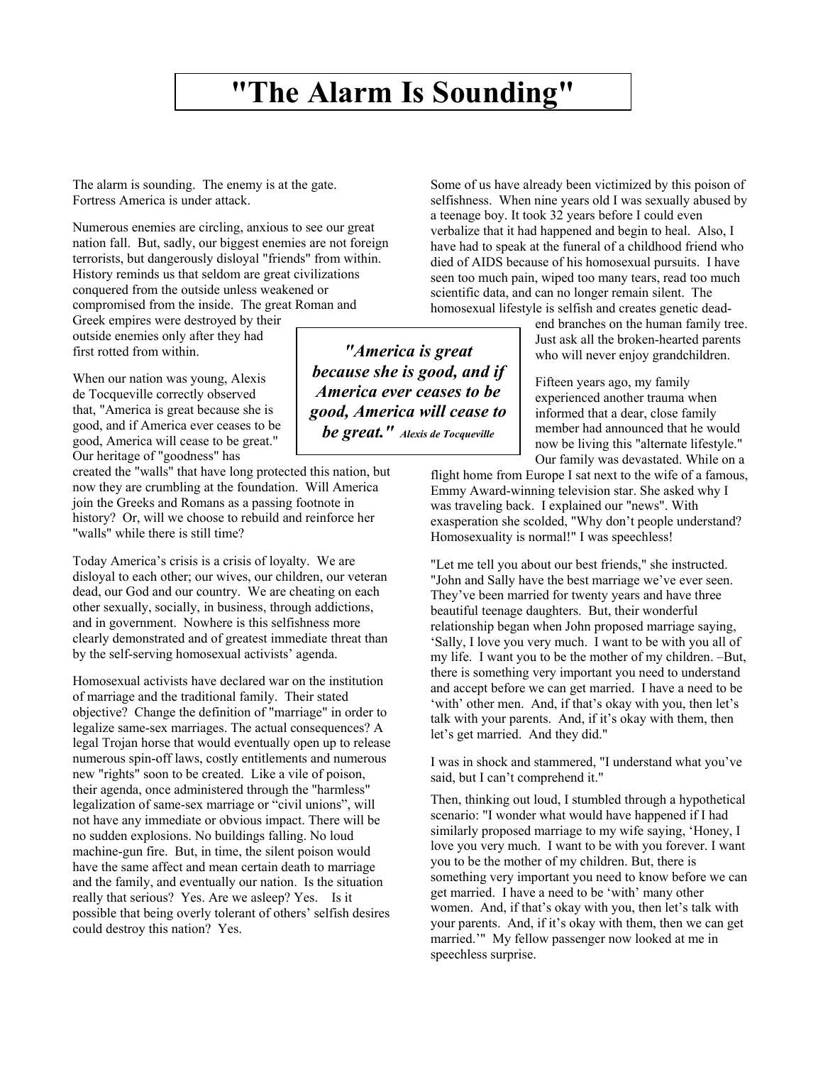## **"The Alarm Is Sounding"**

The alarm is sounding. The enemy is at the gate. Fortress America is under attack.

Numerous enemies are circling, anxious to see our great nation fall. But, sadly, our biggest enemies are not foreign terrorists, but dangerously disloyal "friends" from within. History reminds us that seldom are great civilizations conquered from the outside unless weakened or compromised from the inside. The great Roman and

Greek empires were destroyed by their outside enemies only after they had first rotted from within.

When our nation was young, Alexis de Tocqueville correctly observed that, "America is great because she is good, and if America ever ceases to be good, America will cease to be great." Our heritage of "goodness" has

created the "walls" that have long protected this nation, but now they are crumbling at the foundation. Will America join the Greeks and Romans as a passing footnote in history? Or, will we choose to rebuild and reinforce her "walls" while there is still time?

Today America's crisis is a crisis of loyalty. We are disloyal to each other; our wives, our children, our veteran dead, our God and our country. We are cheating on each other sexually, socially, in business, through addictions, and in government. Nowhere is this selfishness more clearly demonstrated and of greatest immediate threat than by the self-serving homosexual activists' agenda.

Homosexual activists have declared war on the institution of marriage and the traditional family. Their stated objective? Change the definition of "marriage" in order to legalize same-sex marriages. The actual consequences? A legal Trojan horse that would eventually open up to release numerous spin-off laws, costly entitlements and numerous new "rights" soon to be created. Like a vile of poison, their agenda, once administered through the "harmless" legalization of same-sex marriage or "civil unions", will not have any immediate or obvious impact. There will be no sudden explosions. No buildings falling. No loud machine-gun fire. But, in time, the silent poison would have the same affect and mean certain death to marriage and the family, and eventually our nation. Is the situation really that serious? Yes. Are we asleep? Yes. Is it possible that being overly tolerant of others' selfish desires could destroy this nation? Yes.

Some of us have already been victimized by this poison of selfishness. When nine years old I was sexually abused by a teenage boy. It took 32 years before I could even verbalize that it had happened and begin to heal. Also, I have had to speak at the funeral of a childhood friend who died of AIDS because of his homosexual pursuits. I have seen too much pain, wiped too many tears, read too much scientific data, and can no longer remain silent. The homosexual lifestyle is selfish and creates genetic dead-

> end branches on the human family tree. Just ask all the broken-hearted parents who will never enjoy grandchildren.

> Fifteen years ago, my family experienced another trauma when informed that a dear, close family member had announced that he would now be living this "alternate lifestyle." Our family was devastated. While on a

flight home from Europe I sat next to the wife of a famous, Emmy Award-winning television star. She asked why I was traveling back. I explained our "news". With exasperation she scolded, "Why don't people understand? Homosexuality is normal!" I was speechless!

"Let me tell you about our best friends," she instructed. "John and Sally have the best marriage we've ever seen. They've been married for twenty years and have three beautiful teenage daughters. But, their wonderful relationship began when John proposed marriage saying, 'Sally, I love you very much. I want to be with you all of my life. I want you to be the mother of my children. –But, there is something very important you need to understand and accept before we can get married. I have a need to be 'with' other men. And, if that's okay with you, then let's talk with your parents. And, if it's okay with them, then let's get married. And they did."

I was in shock and stammered, "I understand what you've said, but I can't comprehend it."

Then, thinking out loud, I stumbled through a hypothetical scenario: "I wonder what would have happened if I had similarly proposed marriage to my wife saying, 'Honey, I love you very much. I want to be with you forever. I want you to be the mother of my children. But, there is something very important you need to know before we can get married. I have a need to be 'with' many other women. And, if that's okay with you, then let's talk with your parents. And, if it's okay with them, then we can get married.'" My fellow passenger now looked at me in speechless surprise.

*"America is great because she is good, and if America ever ceases to be good, America will cease to be great." Alexis de Tocqueville*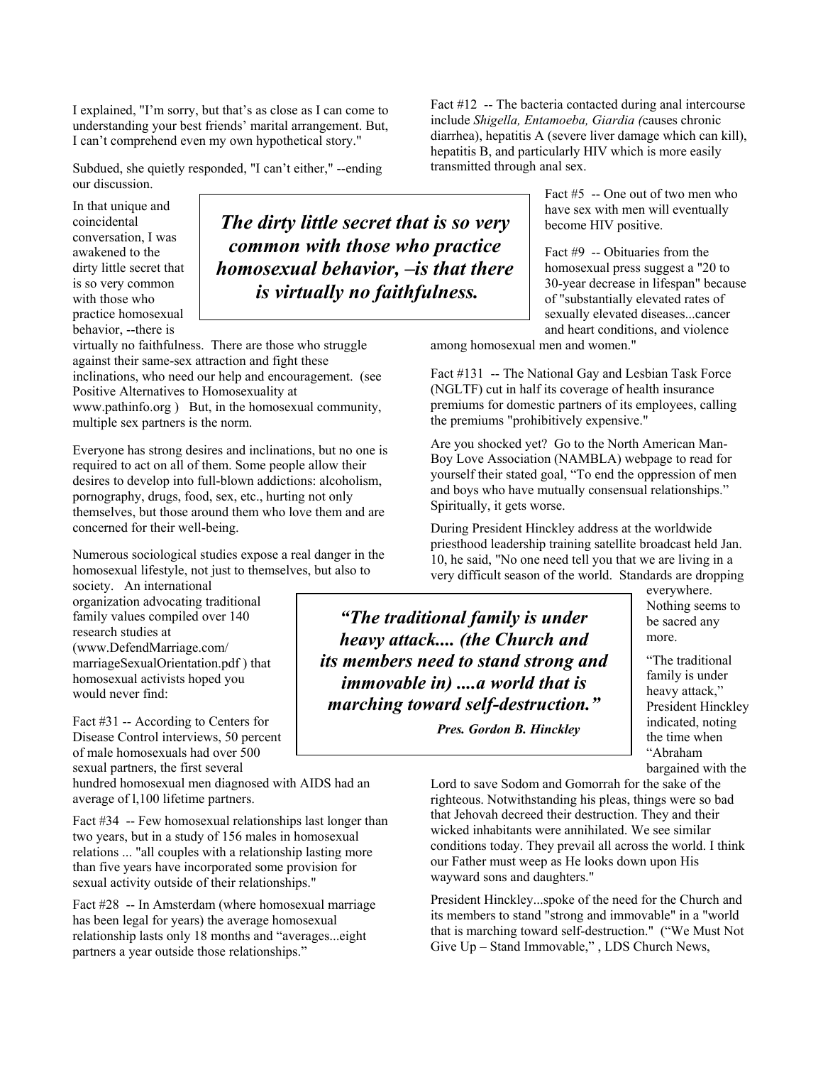I explained, "I'm sorry, but that's as close as I can come to understanding your best friends' marital arrangement. But, I can't comprehend even my own hypothetical story."

Subdued, she quietly responded, "I can't either," --ending our discussion.

In that unique and coincidental conversation, I was awakened to the dirty little secret that is so very common with those who practice homosexual behavior, --there is

*The dirty little secret that is so very common with those who practice homosexual behavior, –is that there is virtually no faithfulness.*

virtually no faithfulness. There are those who struggle against their same-sex attraction and fight these inclinations, who need our help and encouragement. (see Positive Alternatives to Homosexuality at www.pathinfo.org ) But, in the homosexual community, multiple sex partners is the norm.

Everyone has strong desires and inclinations, but no one is required to act on all of them. Some people allow their desires to develop into full-blown addictions: alcoholism, pornography, drugs, food, sex, etc., hurting not only themselves, but those around them who love them and are concerned for their well-being.

Numerous sociological studies expose a real danger in the homosexual lifestyle, not just to themselves, but also to

society. An international organization advocating traditional family values compiled over 140 research studies at (www.DefendMarriage.com/ marriageSexualOrientation.pdf ) that homosexual activists hoped you would never find:

Fact #31 -- According to Centers for Disease Control interviews, 50 percent of male homosexuals had over 500 sexual partners, the first several

hundred homosexual men diagnosed with AIDS had an average of l,100 lifetime partners.

Fact #34 -- Few homosexual relationships last longer than two years, but in a study of 156 males in homosexual relations ... "all couples with a relationship lasting more than five years have incorporated some provision for sexual activity outside of their relationships."

Fact #28 -- In Amsterdam (where homosexual marriage has been legal for years) the average homosexual relationship lasts only 18 months and "averages...eight partners a year outside those relationships."

Fact #12 -- The bacteria contacted during anal intercourse include *Shigella, Entamoeba, Giardia (*causes chronic diarrhea), hepatitis A (severe liver damage which can kill), hepatitis B, and particularly HIV which is more easily transmitted through anal sex.

> Fact #5 -- One out of two men who have sex with men will eventually become HIV positive.

Fact #9 -- Obituaries from the homosexual press suggest a "20 to 30-year decrease in lifespan" because of "substantially elevated rates of sexually elevated diseases...cancer and heart conditions, and violence

among homosexual men and women."

Fact #131 -- The National Gay and Lesbian Task Force (NGLTF) cut in half its coverage of health insurance premiums for domestic partners of its employees, calling the premiums "prohibitively expensive."

Are you shocked yet? Go to the North American Man-Boy Love Association (NAMBLA) webpage to read for yourself their stated goal, "To end the oppression of men and boys who have mutually consensual relationships." Spiritually, it gets worse.

During President Hinckley address at the worldwide priesthood leadership training satellite broadcast held Jan. 10, he said, "No one need tell you that we are living in a very difficult season of the world. Standards are dropping

*"The traditional family is under heavy attack.... (the Church and its members need to stand strong and immovable in) ....a world that is marching toward self-destruction."* 

 *Pres. Gordon B. Hinckley* 

everywhere. Nothing seems to be sacred any more.

"The traditional family is under heavy attack," President Hinckley indicated, noting the time when "Abraham bargained with the

Lord to save Sodom and Gomorrah for the sake of the righteous. Notwithstanding his pleas, things were so bad that Jehovah decreed their destruction. They and their wicked inhabitants were annihilated. We see similar conditions today. They prevail all across the world. I think our Father must weep as He looks down upon His wayward sons and daughters."

President Hinckley...spoke of the need for the Church and its members to stand "strong and immovable" in a "world that is marching toward self-destruction." ("We Must Not Give Up – Stand Immovable," , LDS Church News,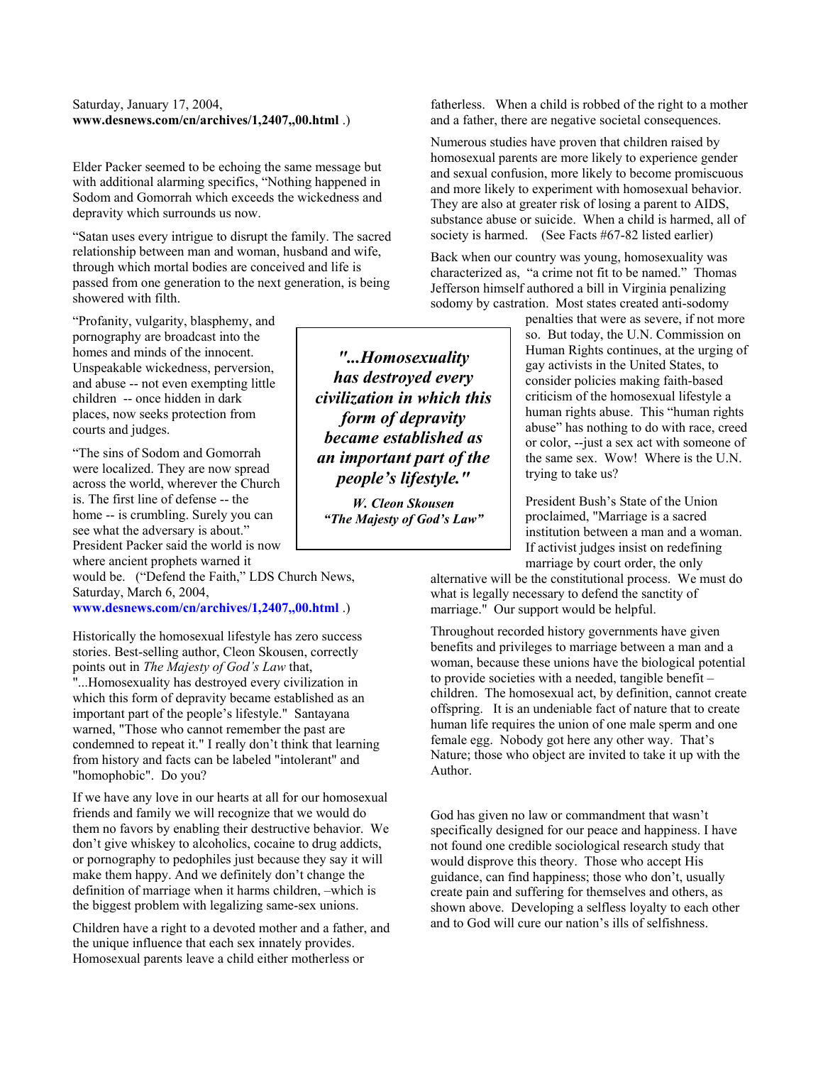## Saturday, January 17, 2004, **www.desnews.com/cn/archives/1,2407,,00.html** .)

Elder Packer seemed to be echoing the same message but with additional alarming specifics, "Nothing happened in Sodom and Gomorrah which exceeds the wickedness and depravity which surrounds us now.

"Satan uses every intrigue to disrupt the family. The sacred relationship between man and woman, husband and wife, through which mortal bodies are conceived and life is passed from one generation to the next generation, is being showered with filth.

"Profanity, vulgarity, blasphemy, and pornography are broadcast into the homes and minds of the innocent. Unspeakable wickedness, perversion, and abuse -- not even exempting little children -- once hidden in dark places, now seeks protection from courts and judges.

"The sins of Sodom and Gomorrah were localized. They are now spread across the world, wherever the Church is. The first line of defense -- the home -- is crumbling. Surely you can see what the adversary is about." President Packer said the world is now where ancient prophets warned it

would be. ("Defend the Faith," LDS Church News, Saturday, March 6, 2004,

**www.desnews.com/cn/archives/1,2407,,00.html** .)

Historically the homosexual lifestyle has zero success stories. Best-selling author, Cleon Skousen, correctly points out in *The Majesty of God's Law* that, "...Homosexuality has destroyed every civilization in

which this form of depravity became established as an important part of the people's lifestyle." Santayana warned, "Those who cannot remember the past are condemned to repeat it." I really don't think that learning from history and facts can be labeled "intolerant" and "homophobic". Do you?

If we have any love in our hearts at all for our homosexual friends and family we will recognize that we would do them no favors by enabling their destructive behavior. We don't give whiskey to alcoholics, cocaine to drug addicts, or pornography to pedophiles just because they say it will make them happy. And we definitely don't change the definition of marriage when it harms children, –which is the biggest problem with legalizing same-sex unions.

Children have a right to a devoted mother and a father, and the unique influence that each sex innately provides. Homosexual parents leave a child either motherless or

*"...Homosexuality has destroyed every civilization in which this form of depravity became established as an important part of the people's lifestyle."* 

*W. Cleon Skousen "The Majesty of God's Law"* 

fatherless. When a child is robbed of the right to a mother and a father, there are negative societal consequences.

Numerous studies have proven that children raised by homosexual parents are more likely to experience gender and sexual confusion, more likely to become promiscuous and more likely to experiment with homosexual behavior. They are also at greater risk of losing a parent to AIDS, substance abuse or suicide. When a child is harmed, all of society is harmed. (See Facts #67-82 listed earlier)

Back when our country was young, homosexuality was characterized as, "a crime not fit to be named." Thomas Jefferson himself authored a bill in Virginia penalizing sodomy by castration. Most states created anti-sodomy

> penalties that were as severe, if not more so. But today, the U.N. Commission on Human Rights continues, at the urging of gay activists in the United States, to consider policies making faith-based criticism of the homosexual lifestyle a human rights abuse. This "human rights abuse" has nothing to do with race, creed or color, --just a sex act with someone of the same sex. Wow! Where is the U.N. trying to take us?

President Bush's State of the Union proclaimed, "Marriage is a sacred institution between a man and a woman. If activist judges insist on redefining marriage by court order, the only

alternative will be the constitutional process. We must do what is legally necessary to defend the sanctity of marriage." Our support would be helpful.

Throughout recorded history governments have given benefits and privileges to marriage between a man and a woman, because these unions have the biological potential to provide societies with a needed, tangible benefit – children. The homosexual act, by definition, cannot create offspring. It is an undeniable fact of nature that to create human life requires the union of one male sperm and one female egg. Nobody got here any other way. That's Nature; those who object are invited to take it up with the Author.

God has given no law or commandment that wasn't specifically designed for our peace and happiness. I have not found one credible sociological research study that would disprove this theory. Those who accept His guidance, can find happiness; those who don't, usually create pain and suffering for themselves and others, as shown above. Developing a selfless loyalty to each other and to God will cure our nation's ills of selfishness.